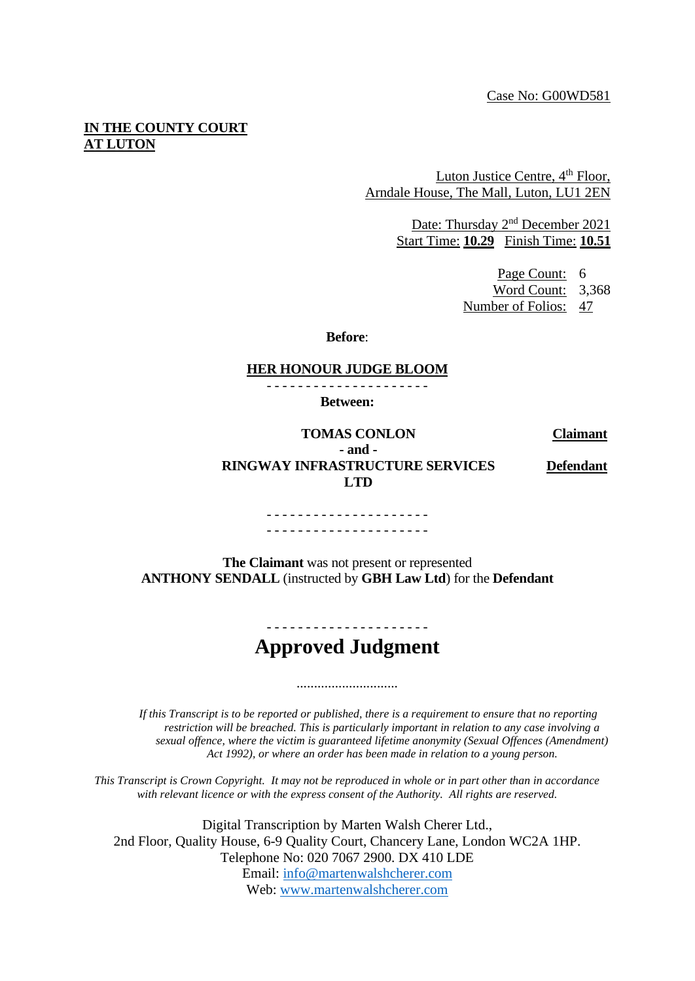## **IN THE COUNTY COURT AT LUTON**

Luton Justice Centre, 4<sup>th</sup> Floor, Arndale House, The Mall, Luton, LU1 2EN

> Date: Thursday 2<sup>nd</sup> December 2021 Start Time: **10.29** Finish Time: **10.51**

> > Page Count: 6 Word Count: 3,368 Number of Folios: 47

**Before**:

## **HER HONOUR JUDGE BLOOM**

- - - - - - - - - - - - - - - - - - - - - **Between:**

**TOMAS CONLON Claimant - and - RINGWAY INFRASTRUCTURE SERVICES LTD**

**Defendant**

. <u>- - - - - - - - - - - - - - - - - -</u> -- - - - - - - - - - - - - - - - - - - - -

**The Claimant** was not present or represented **ANTHONY SENDALL** (instructed by **GBH Law Ltd**) for the **Defendant**

## **Approved Judgment**

.............................

*If this Transcript is to be reported or published, there is a requirement to ensure that no reporting restriction will be breached. This is particularly important in relation to any case involving a sexual offence, where the victim is guaranteed lifetime anonymity (Sexual Offences (Amendment) Act 1992), or where an order has been made in relation to a young person.*

*This Transcript is Crown Copyright. It may not be reproduced in whole or in part other than in accordance with relevant licence or with the express consent of the Authority. All rights are reserved.*

Digital Transcription by Marten Walsh Cherer Ltd., 2nd Floor, Quality House, 6-9 Quality Court, Chancery Lane, London WC2A 1HP. Telephone No: 020 7067 2900. DX 410 LDE Email: [info@martenwalshcherer.com](mailto:info@martenwalshcherer.com) Web: [www.martenwalshcherer.com](http://www.martenwalshcherer.com/)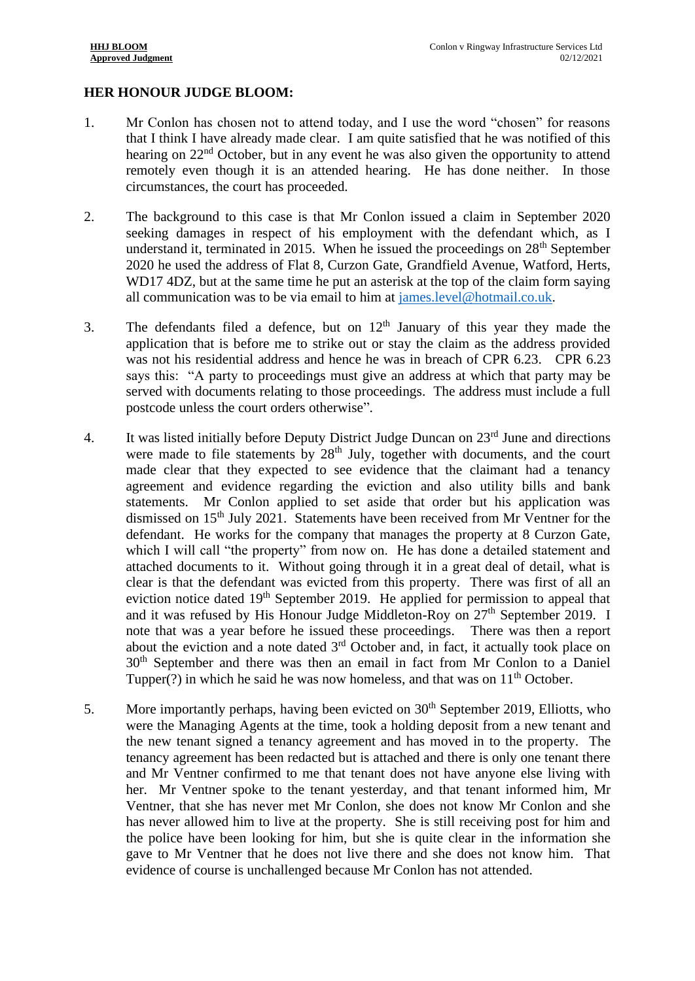## **HER HONOUR JUDGE BLOOM:**

- 1. Mr Conlon has chosen not to attend today, and I use the word "chosen" for reasons that I think I have already made clear. I am quite satisfied that he was notified of this hearing on 22<sup>nd</sup> October, but in any event he was also given the opportunity to attend remotely even though it is an attended hearing. He has done neither. In those circumstances, the court has proceeded.
- 2. The background to this case is that Mr Conlon issued a claim in September 2020 seeking damages in respect of his employment with the defendant which, as I understand it, terminated in 2015. When he issued the proceedings on  $28<sup>th</sup>$  September 2020 he used the address of Flat 8, Curzon Gate, Grandfield Avenue, Watford, Herts, WD17 4DZ, but at the same time he put an asterisk at the top of the claim form saying all communication was to be via email to him at [james.level@hotmail.co.uk.](mailto:james.level@hotmail.co.uk)
- 3. The defendants filed a defence, but on  $12<sup>th</sup>$  January of this year they made the application that is before me to strike out or stay the claim as the address provided was not his residential address and hence he was in breach of CPR 6.23. CPR 6.23 says this: "A party to proceedings must give an address at which that party may be served with documents relating to those proceedings. The address must include a full postcode unless the court orders otherwise".
- 4. It was listed initially before Deputy District Judge Duncan on  $23<sup>rd</sup>$  June and directions were made to file statements by 28<sup>th</sup> July, together with documents, and the court made clear that they expected to see evidence that the claimant had a tenancy agreement and evidence regarding the eviction and also utility bills and bank statements. Mr Conlon applied to set aside that order but his application was dismissed on  $15<sup>th</sup>$  July 2021. Statements have been received from Mr Ventner for the defendant. He works for the company that manages the property at 8 Curzon Gate, which I will call "the property" from now on. He has done a detailed statement and attached documents to it. Without going through it in a great deal of detail, what is clear is that the defendant was evicted from this property. There was first of all an eviction notice dated  $19<sup>th</sup>$  September 2019. He applied for permission to appeal that and it was refused by His Honour Judge Middleton-Roy on 27<sup>th</sup> September 2019. I note that was a year before he issued these proceedings. There was then a report about the eviction and a note dated  $3<sup>rd</sup>$  October and, in fact, it actually took place on 30th September and there was then an email in fact from Mr Conlon to a Daniel Tupper(?) in which he said he was now homeless, and that was on  $11<sup>th</sup>$  October.
- 5. More importantly perhaps, having been evicted on  $30<sup>th</sup>$  September 2019, Elliotts, who were the Managing Agents at the time, took a holding deposit from a new tenant and the new tenant signed a tenancy agreement and has moved in to the property. The tenancy agreement has been redacted but is attached and there is only one tenant there and Mr Ventner confirmed to me that tenant does not have anyone else living with her. Mr Ventner spoke to the tenant yesterday, and that tenant informed him, Mr Ventner, that she has never met Mr Conlon, she does not know Mr Conlon and she has never allowed him to live at the property. She is still receiving post for him and the police have been looking for him, but she is quite clear in the information she gave to Mr Ventner that he does not live there and she does not know him. That evidence of course is unchallenged because Mr Conlon has not attended.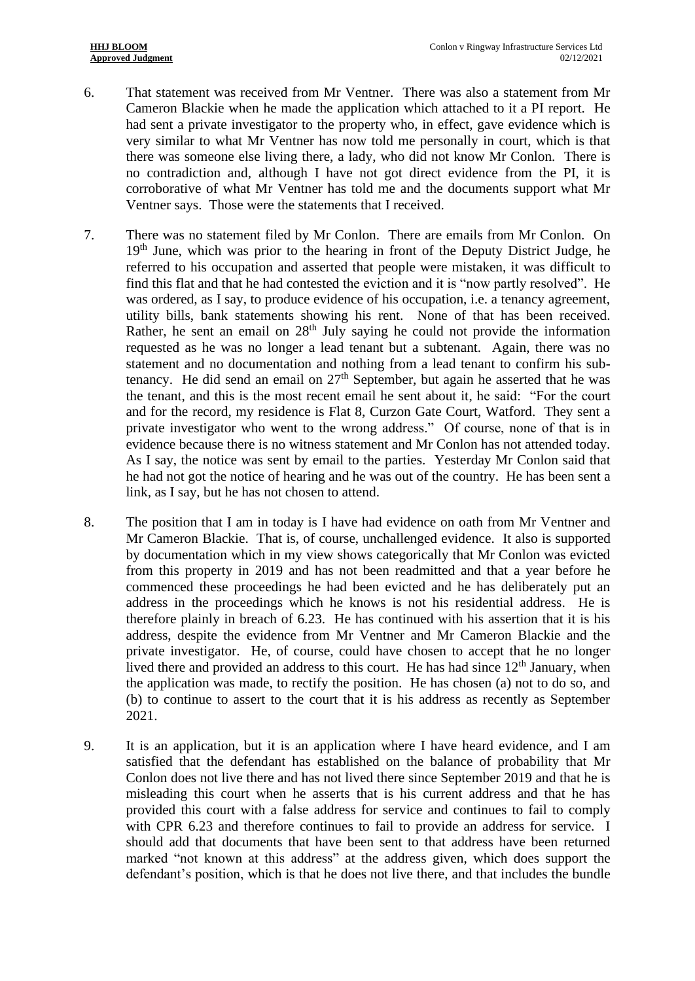- 6. That statement was received from Mr Ventner. There was also a statement from Mr Cameron Blackie when he made the application which attached to it a PI report. He had sent a private investigator to the property who, in effect, gave evidence which is very similar to what Mr Ventner has now told me personally in court, which is that there was someone else living there, a lady, who did not know Mr Conlon. There is no contradiction and, although I have not got direct evidence from the PI, it is corroborative of what Mr Ventner has told me and the documents support what Mr Ventner says. Those were the statements that I received.
- 7. There was no statement filed by Mr Conlon. There are emails from Mr Conlon. On 19<sup>th</sup> June, which was prior to the hearing in front of the Deputy District Judge, he referred to his occupation and asserted that people were mistaken, it was difficult to find this flat and that he had contested the eviction and it is "now partly resolved". He was ordered, as I say, to produce evidence of his occupation, i.e. a tenancy agreement, utility bills, bank statements showing his rent. None of that has been received. Rather, he sent an email on  $28<sup>th</sup>$  July saying he could not provide the information requested as he was no longer a lead tenant but a subtenant. Again, there was no statement and no documentation and nothing from a lead tenant to confirm his subtenancy. He did send an email on  $27<sup>th</sup>$  September, but again he asserted that he was the tenant, and this is the most recent email he sent about it, he said: "For the court and for the record, my residence is Flat 8, Curzon Gate Court, Watford. They sent a private investigator who went to the wrong address." Of course, none of that is in evidence because there is no witness statement and Mr Conlon has not attended today. As I say, the notice was sent by email to the parties. Yesterday Mr Conlon said that he had not got the notice of hearing and he was out of the country. He has been sent a link, as I say, but he has not chosen to attend.
- 8. The position that I am in today is I have had evidence on oath from Mr Ventner and Mr Cameron Blackie. That is, of course, unchallenged evidence. It also is supported by documentation which in my view shows categorically that Mr Conlon was evicted from this property in 2019 and has not been readmitted and that a year before he commenced these proceedings he had been evicted and he has deliberately put an address in the proceedings which he knows is not his residential address. He is therefore plainly in breach of 6.23. He has continued with his assertion that it is his address, despite the evidence from Mr Ventner and Mr Cameron Blackie and the private investigator. He, of course, could have chosen to accept that he no longer lived there and provided an address to this court. He has had since  $12<sup>th</sup>$  January, when the application was made, to rectify the position. He has chosen (a) not to do so, and (b) to continue to assert to the court that it is his address as recently as September 2021.
- 9. It is an application, but it is an application where I have heard evidence, and I am satisfied that the defendant has established on the balance of probability that Mr Conlon does not live there and has not lived there since September 2019 and that he is misleading this court when he asserts that is his current address and that he has provided this court with a false address for service and continues to fail to comply with CPR 6.23 and therefore continues to fail to provide an address for service. I should add that documents that have been sent to that address have been returned marked "not known at this address" at the address given, which does support the defendant's position, which is that he does not live there, and that includes the bundle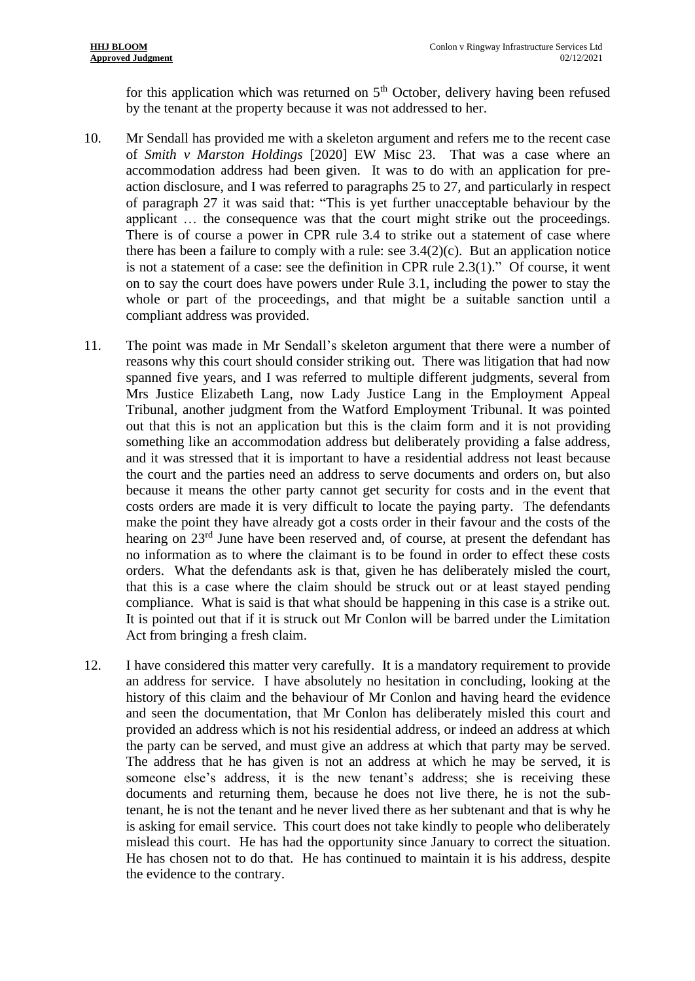for this application which was returned on  $5<sup>th</sup>$  October, delivery having been refused by the tenant at the property because it was not addressed to her.

- 10. Mr Sendall has provided me with a skeleton argument and refers me to the recent case of *Smith v Marston Holdings* [2020] EW Misc 23. That was a case where an accommodation address had been given. It was to do with an application for preaction disclosure, and I was referred to paragraphs 25 to 27, and particularly in respect of paragraph 27 it was said that: "This is yet further unacceptable behaviour by the applicant … the consequence was that the court might strike out the proceedings. There is of course a power in CPR rule 3.4 to strike out a statement of case where there has been a failure to comply with a rule: see  $3.4(2)(c)$ . But an application notice is not a statement of a case: see the definition in CPR rule 2.3(1)." Of course, it went on to say the court does have powers under Rule 3.1, including the power to stay the whole or part of the proceedings, and that might be a suitable sanction until a compliant address was provided.
- 11. The point was made in Mr Sendall's skeleton argument that there were a number of reasons why this court should consider striking out. There was litigation that had now spanned five years, and I was referred to multiple different judgments, several from Mrs Justice Elizabeth Lang, now Lady Justice Lang in the Employment Appeal Tribunal, another judgment from the Watford Employment Tribunal. It was pointed out that this is not an application but this is the claim form and it is not providing something like an accommodation address but deliberately providing a false address, and it was stressed that it is important to have a residential address not least because the court and the parties need an address to serve documents and orders on, but also because it means the other party cannot get security for costs and in the event that costs orders are made it is very difficult to locate the paying party. The defendants make the point they have already got a costs order in their favour and the costs of the hearing on 23<sup>rd</sup> June have been reserved and, of course, at present the defendant has no information as to where the claimant is to be found in order to effect these costs orders. What the defendants ask is that, given he has deliberately misled the court, that this is a case where the claim should be struck out or at least stayed pending compliance. What is said is that what should be happening in this case is a strike out. It is pointed out that if it is struck out Mr Conlon will be barred under the Limitation Act from bringing a fresh claim.
- 12. I have considered this matter very carefully. It is a mandatory requirement to provide an address for service. I have absolutely no hesitation in concluding, looking at the history of this claim and the behaviour of Mr Conlon and having heard the evidence and seen the documentation, that Mr Conlon has deliberately misled this court and provided an address which is not his residential address, or indeed an address at which the party can be served, and must give an address at which that party may be served. The address that he has given is not an address at which he may be served, it is someone else's address, it is the new tenant's address; she is receiving these documents and returning them, because he does not live there, he is not the subtenant, he is not the tenant and he never lived there as her subtenant and that is why he is asking for email service. This court does not take kindly to people who deliberately mislead this court. He has had the opportunity since January to correct the situation. He has chosen not to do that. He has continued to maintain it is his address, despite the evidence to the contrary.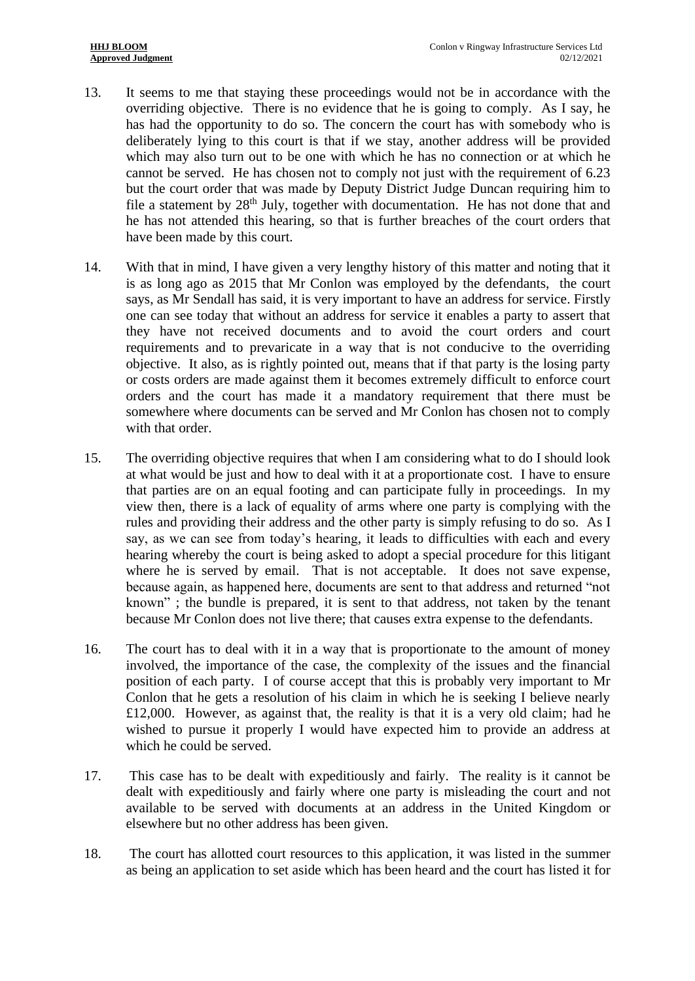- 13. It seems to me that staying these proceedings would not be in accordance with the overriding objective. There is no evidence that he is going to comply. As I say, he has had the opportunity to do so. The concern the court has with somebody who is deliberately lying to this court is that if we stay, another address will be provided which may also turn out to be one with which he has no connection or at which he cannot be served. He has chosen not to comply not just with the requirement of 6.23 but the court order that was made by Deputy District Judge Duncan requiring him to file a statement by  $28<sup>th</sup>$  July, together with documentation. He has not done that and he has not attended this hearing, so that is further breaches of the court orders that have been made by this court.
- 14. With that in mind, I have given a very lengthy history of this matter and noting that it is as long ago as 2015 that Mr Conlon was employed by the defendants, the court says, as Mr Sendall has said, it is very important to have an address for service. Firstly one can see today that without an address for service it enables a party to assert that they have not received documents and to avoid the court orders and court requirements and to prevaricate in a way that is not conducive to the overriding objective. It also, as is rightly pointed out, means that if that party is the losing party or costs orders are made against them it becomes extremely difficult to enforce court orders and the court has made it a mandatory requirement that there must be somewhere where documents can be served and Mr Conlon has chosen not to comply with that order.
- 15. The overriding objective requires that when I am considering what to do I should look at what would be just and how to deal with it at a proportionate cost. I have to ensure that parties are on an equal footing and can participate fully in proceedings. In my view then, there is a lack of equality of arms where one party is complying with the rules and providing their address and the other party is simply refusing to do so. As I say, as we can see from today's hearing, it leads to difficulties with each and every hearing whereby the court is being asked to adopt a special procedure for this litigant where he is served by email. That is not acceptable. It does not save expense, because again, as happened here, documents are sent to that address and returned "not known" ; the bundle is prepared, it is sent to that address, not taken by the tenant because Mr Conlon does not live there; that causes extra expense to the defendants.
- 16. The court has to deal with it in a way that is proportionate to the amount of money involved, the importance of the case, the complexity of the issues and the financial position of each party. I of course accept that this is probably very important to Mr Conlon that he gets a resolution of his claim in which he is seeking I believe nearly £12,000. However, as against that, the reality is that it is a very old claim; had he wished to pursue it properly I would have expected him to provide an address at which he could be served.
- 17. This case has to be dealt with expeditiously and fairly. The reality is it cannot be dealt with expeditiously and fairly where one party is misleading the court and not available to be served with documents at an address in the United Kingdom or elsewhere but no other address has been given.
- 18. The court has allotted court resources to this application, it was listed in the summer as being an application to set aside which has been heard and the court has listed it for